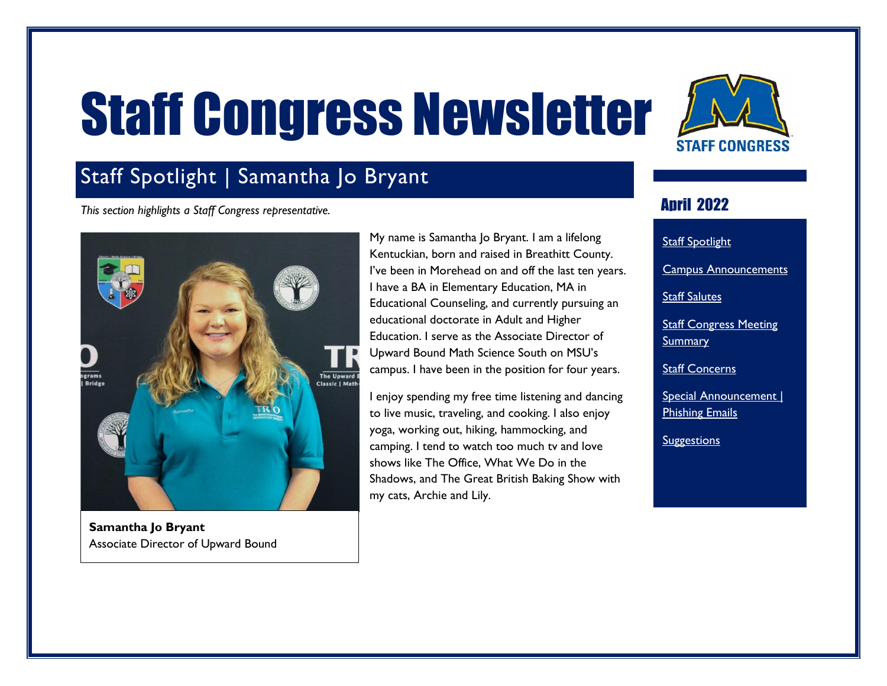# Staff Congress Newsletter

<span id="page-0-1"></span>

## <span id="page-0-0"></span>Staff Spotlight | Samantha Jo Bryant

*This section highlights a Staff Congress representative.*



**Samantha Jo Bryant** Associate Director of Upward Bound

My name is Samantha Jo Bryant. I am a lifelong Kentuckian, born and raised in Breathitt County. I've been in Morehead on and off the last ten years. I have a BA in Elementary Education, MA in Educational Counseling, and currently pursuing an educational doctorate in Adult and Higher Education. I serve as the Associate Director of Upward Bound Math Science South on MSU's campus. I have been in the position for four years.

I enjoy spending my free time listening and dancing to live music, traveling, and cooking. I also enjoy yoga, working out, hiking, hammocking, and camping. I tend to watch too much tv and love shows like The Office, What We Do in the Shadows, and The Great British Baking Show with my cats, Archie and Lily.

#### **Anril 2022**

**Staff [Spotlight](#page-0-0)** [Campus Announcements](#page-1-0) [Staff Salutes](#page-2-0) **Staff Congress Meeting [Summary](#page-2-1)** [Staff Concerns](#page-2-2)

Special Announcement | [Phishing Emails](#page-5-0)

**[Suggestions](#page-6-0)**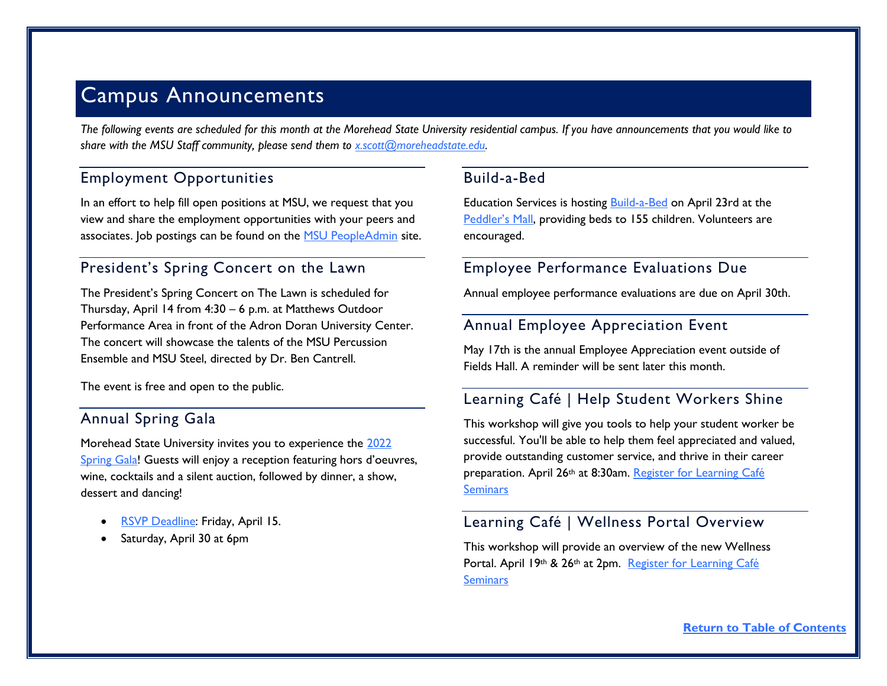### <span id="page-1-0"></span>Campus Announcements

*The following events are scheduled for this month at the Morehead State University residential campus. If you have announcements that you would like to share with the MSU Staff community, please send them to [x.scott@moreheadstate.edu.](mailto:x.scott@moreheadstate.edu)* 

#### Employment Opportunities

In an effort to help fill open positions at MSU, we request that you view and share the employment opportunities with your peers and associates. Job postings can be found on the [MSU PeopleAdmin](https://moreheadstate.peopleadmin.com/) site.

#### President's Spring Concert on the Lawn

The President's Spring Concert on The Lawn is scheduled for Thursday, April 14 from 4:30 – 6 p.m. at Matthews Outdoor Performance Area in front of the Adron Doran University Center. The concert will showcase the talents of the MSU Percussion Ensemble and MSU Steel, directed by Dr. Ben Cantrell.

The event is free and open to the public.

#### Annual Spring Gala

Morehead State University invites you to experience the [2022](https://alumni.moreheadstate.edu/s/1869/18/interior-col.aspx?sid=1869&gid=2&pgid=531)  [Spring Gala!](https://alumni.moreheadstate.edu/s/1869/18/interior-col.aspx?sid=1869&gid=2&pgid=531) Guests will enjoy a reception featuring hors d'oeuvres, wine, cocktails and a silent auction, followed by dinner, a show, dessert and dancing!

- [RSVP Deadline:](https://alumni.moreheadstate.edu/s/1869/18/interior-col.aspx?sid=1869&gid=2&pgid=531) Friday, April 15.
- Saturday, April 30 at 6pm

#### Build-a-Bed

Education Services is hosting **Build-a-Bed** on April 23rd at the [Peddler's Mall](https://goo.gl/maps/BsMqx7N8bHL2FK1C7), providing beds to 155 children. Volunteers are encouraged.

#### Employee Performance Evaluations Due

Annual employee performance evaluations are due on April 30th.

#### Annual Employee Appreciation Event

May 17th is the annual Employee Appreciation event outside of Fields Hall. A reminder will be sent later this month.

#### Learning Café | Help Student Workers Shine

This workshop will give you tools to help your student worker be successful. You'll be able to help them feel appreciated and valued, provide outstanding customer service, and thrive in their career preparation. April 26th at 8:30am. [Register for Learning Café](https://outlook.office365.com/owa/calendar/LearningCaf@moreheadstateedu28844.onmicrosoft.com/bookings/s/BFQfypOsvUON_J14yS_XLg2)  **[Seminars](https://outlook.office365.com/owa/calendar/LearningCaf@moreheadstateedu28844.onmicrosoft.com/bookings/s/BFQfypOsvUON_J14yS_XLg2)** 

#### Learning Café | Wellness Portal Overview

This workshop will provide an overview of the new Wellness Portal. April 19th & 26th at 2pm. Register for Learning Café **Seminars**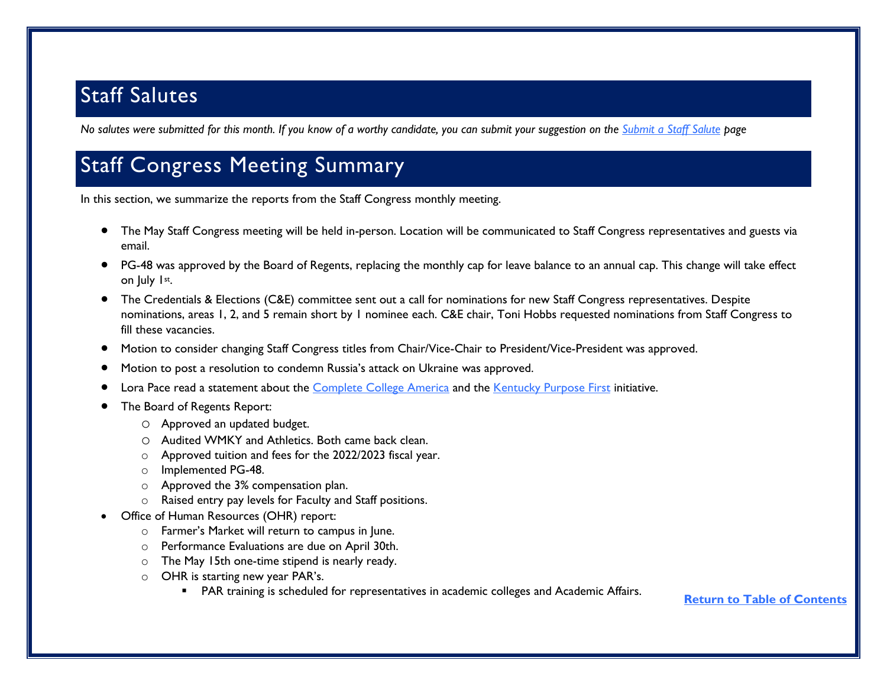## <span id="page-2-0"></span>Staff Salutes

*No salutes were submitted for this month. If you know of a worthy candidate, you can submit your suggestion on the [Submit a Staff Salute](https://www.moreheadstate.edu/Leadership/Staff-Congress/Submit-a-Staff-Salute) page*

## <span id="page-2-1"></span>Staff Congress Meeting Summary

In this section, we summarize the reports from the Staff Congress monthly meeting.

- The May Staff Congress meeting will be held in-person. Location will be communicated to Staff Congress representatives and guests via email.
- PG-48 was approved by the Board of Regents, replacing the monthly cap for leave balance to an annual cap. This change will take effect on July 1st.
- The Credentials & Elections (C&E) committee sent out a call for nominations for new Staff Congress representatives. Despite nominations, areas 1, 2, and 5 remain short by 1 nominee each. C&E chair, Toni Hobbs requested nominations from Staff Congress to fill these vacancies.
- Motion to consider changing Staff Congress titles from Chair/Vice-Chair to President/Vice-President was approved.
- Motion to post a resolution to condemn Russia's attack on Ukraine was approved.
- Lora Pace read a statement about the [Complete College America](https://completecollege.org/) and the [Kentucky Purpose First](https://completecollege.org/kentucky-purpose-first/) initiative.
- <span id="page-2-2"></span> The Board of Regents Report:
	- o Approved an updated budget.
	- o Audited WMKY and Athletics. Both came back clean.
	- o Approved tuition and fees for the 2022/2023 fiscal year.
	- o Implemented PG-48.
	- o Approved the 3% compensation plan.
	- o Raised entry pay levels for Faculty and Staff positions.
- Office of Human Resources (OHR) report:
	- o Farmer's Market will return to campus in June.
	- o Performance Evaluations are due on April 30th.
	- $\circ$  The May 15th one-time stipend is nearly ready.
	- o OHR is starting new year PAR's.
		- PAR training is scheduled for representatives in academic colleges and Academic Affairs.

**[Return to Table of Contents](#page-0-1)**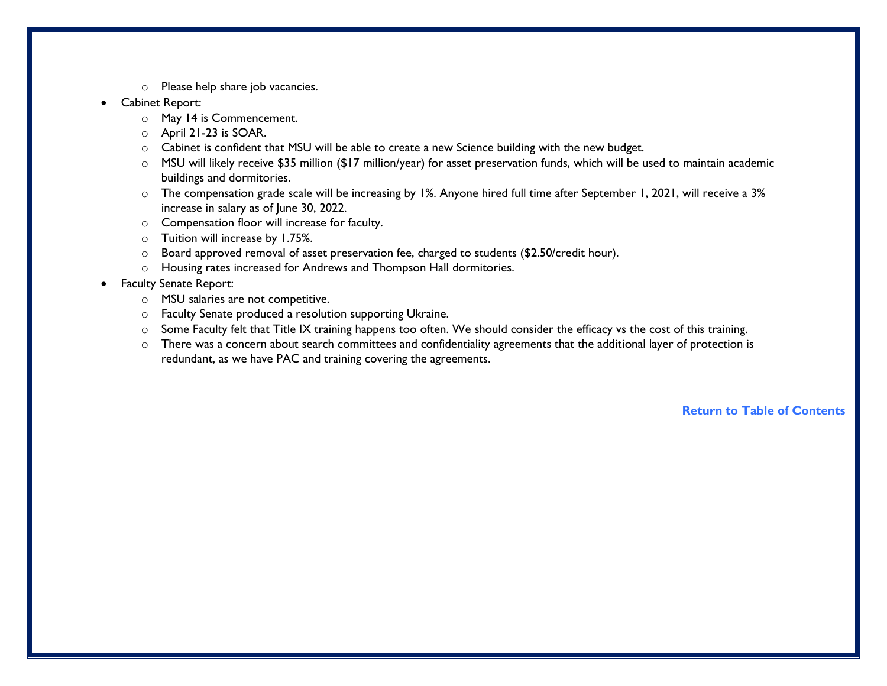- o Please help share job vacancies.
- Cabinet Report:
	- o May 14 is Commencement.
	- o April 21-23 is SOAR.
	- o Cabinet is confident that MSU will be able to create a new Science building with the new budget.
	- o MSU will likely receive \$35 million (\$17 million/year) for asset preservation funds, which will be used to maintain academic buildings and dormitories.
	- o The compensation grade scale will be increasing by 1%. Anyone hired full time after September 1, 2021, will receive a 3% increase in salary as of June 30, 2022.
	- o Compensation floor will increase for faculty.
	- o Tuition will increase by 1.75%.
	- $\circ$  Board approved removal of asset preservation fee, charged to students (\$2.50/credit hour).
	- o Housing rates increased for Andrews and Thompson Hall dormitories.
- Faculty Senate Report:
	- o MSU salaries are not competitive.
	- o Faculty Senate produced a resolution supporting Ukraine.
	- o Some Faculty felt that Title IX training happens too often. We should consider the efficacy vs the cost of this training.
	- o There was a concern about search committees and confidentiality agreements that the additional layer of protection is redundant, as we have PAC and training covering the agreements.

**[Return to Table of Contents](#page-0-1)**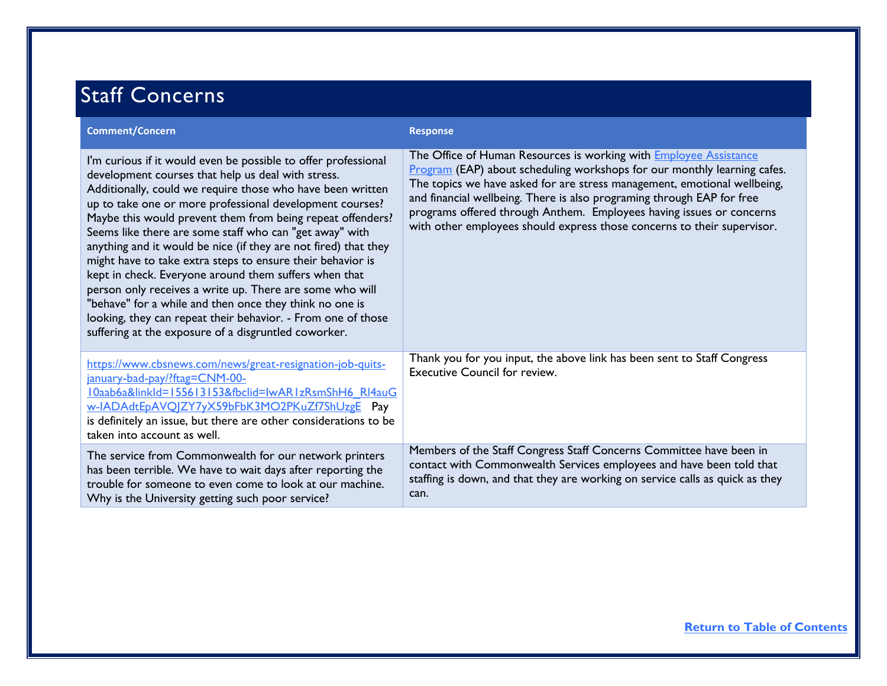# Staff Concerns

| <b>Comment/Concern</b>                                                                                                                                                                                                                                                                                                                                                                                                                                                                                                                                                                                                                                                                                                                                                                                           | <b>Response</b>                                                                                                                                                                                                                                                                                                                                                                                                                                               |
|------------------------------------------------------------------------------------------------------------------------------------------------------------------------------------------------------------------------------------------------------------------------------------------------------------------------------------------------------------------------------------------------------------------------------------------------------------------------------------------------------------------------------------------------------------------------------------------------------------------------------------------------------------------------------------------------------------------------------------------------------------------------------------------------------------------|---------------------------------------------------------------------------------------------------------------------------------------------------------------------------------------------------------------------------------------------------------------------------------------------------------------------------------------------------------------------------------------------------------------------------------------------------------------|
| I'm curious if it would even be possible to offer professional<br>development courses that help us deal with stress.<br>Additionally, could we require those who have been written<br>up to take one or more professional development courses?<br>Maybe this would prevent them from being repeat offenders?<br>Seems like there are some staff who can "get away" with<br>anything and it would be nice (if they are not fired) that they<br>might have to take extra steps to ensure their behavior is<br>kept in check. Everyone around them suffers when that<br>person only receives a write up. There are some who will<br>"behave" for a while and then once they think no one is<br>looking, they can repeat their behavior. - From one of those<br>suffering at the exposure of a disgruntled coworker. | The Office of Human Resources is working with <b>Employee Assistance</b><br>Program (EAP) about scheduling workshops for our monthly learning cafes.<br>The topics we have asked for are stress management, emotional wellbeing,<br>and financial wellbeing. There is also programing through EAP for free<br>programs offered through Anthem. Employees having issues or concerns<br>with other employees should express those concerns to their supervisor. |
| https://www.cbsnews.com/news/great-resignation-job-quits-<br>january-bad-pay/?ftag=CNM-00-<br>I0aab6a&linkId=155613153&fbclid=IwAR1zRsmShH6 RI4auG<br>w-IADAdtEpAVQJZY7yX59bFbK3MO2PKuZf7ShUzgE Pay<br>is definitely an issue, but there are other considerations to be<br>taken into account as well.                                                                                                                                                                                                                                                                                                                                                                                                                                                                                                           | Thank you for you input, the above link has been sent to Staff Congress<br><b>Executive Council for review.</b>                                                                                                                                                                                                                                                                                                                                               |
| The service from Commonwealth for our network printers<br>has been terrible. We have to wait days after reporting the<br>trouble for someone to even come to look at our machine.<br>Why is the University getting such poor service?                                                                                                                                                                                                                                                                                                                                                                                                                                                                                                                                                                            | Members of the Staff Congress Staff Concerns Committee have been in<br>contact with Commonwealth Services employees and have been told that<br>staffing is down, and that they are working on service calls as quick as they<br>can.                                                                                                                                                                                                                          |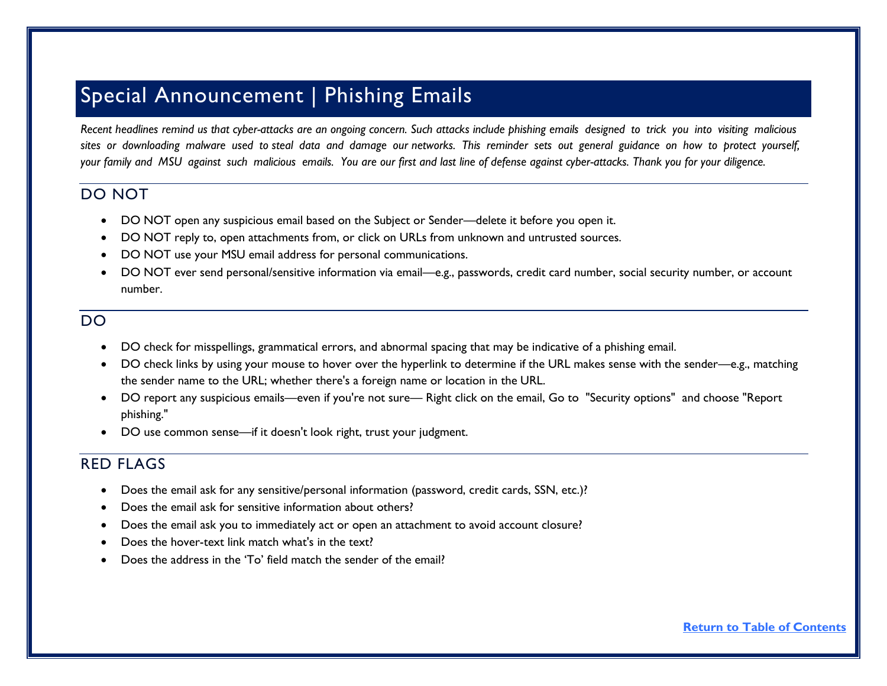## <span id="page-5-0"></span>Special Announcement | Phishing Emails

*Recent headlines remind us that cyber-attacks are an ongoing concern. Such attacks include phishing emails designed to trick you into visiting malicious* sites or downloading malware used to steal data and damage our networks. This reminder sets out general guidance on how to protect yourself, *your family and MSU against such malicious emails. You are our first and last line of defense against cyber-attacks. Thank you for your diligence.*

#### DO NOT

- DO NOT open any suspicious email based on the Subject or Sender—delete it before you open it.
- DO NOT reply to, open attachments from, or click on URLs from unknown and untrusted sources.
- DO NOT use your MSU email address for personal communications.
- DO NOT ever send personal/sensitive information via email—e.g., passwords, credit card number, social security number, or account number.

#### DO

- DO check for misspellings, grammatical errors, and abnormal spacing that may be indicative of a phishing email.
- DO check links by using your mouse to hover over the hyperlink to determine if the URL makes sense with the sender—e.g., matching the sender name to the URL; whether there's a foreign name or location in the URL.
- DO report any suspicious emails—even if you're not sure— Right click on the email, Go to "Security options" and choose "Report phishing."
- DO use common sense—if it doesn't look right, trust your judgment.

#### RED FLAGS

- Does the email ask for any sensitive/personal information (password, credit cards, SSN, etc.)?
- Does the email ask for sensitive information about others?
- Does the email ask you to immediately act or open an attachment to avoid account closure?
- Does the hover-text link match what's in the text?
- Does the address in the 'To' field match the sender of the email?